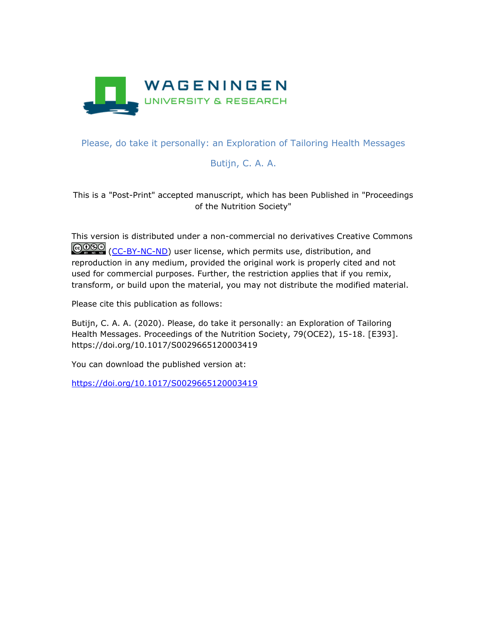

## Please, do take it personally: an Exploration of Tailoring Health Messages

## Butijn, C. A. A.

This is a "Post-Print" accepted manuscript, which has been Published in "Proceedings of the Nutrition Society"

This version is distributed under a non-commercial no derivatives Creative Commons COSO [\(CC-BY-NC-ND\)](https://creativecommons.org/licenses/by-nc-nd/4.0/) user license, which permits use, distribution, and reproduction in any medium, provided the original work is properly cited and not used for commercial purposes. Further, the restriction applies that if you remix, transform, or build upon the material, you may not distribute the modified material.

Please cite this publication as follows:

Butijn, C. A. A. (2020). Please, do take it personally: an Exploration of Tailoring Health Messages. Proceedings of the Nutrition Society, 79(OCE2), 15-18. [E393]. https://doi.org/10.1017/S0029665120003419

You can download the published version at:

<https://doi.org/10.1017/S0029665120003419>